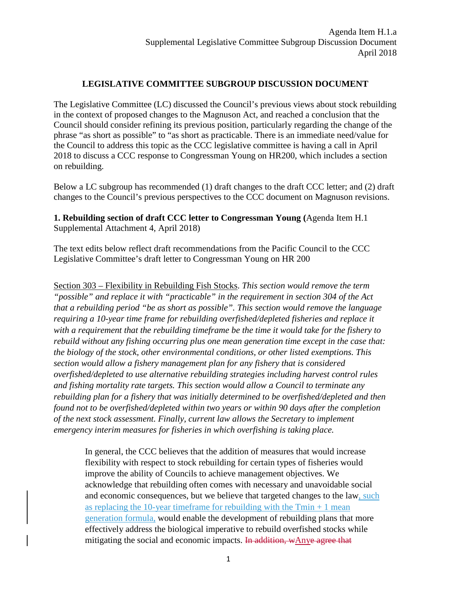# **LEGISLATIVE COMMITTEE SUBGROUP DISCUSSION DOCUMENT**

The Legislative Committee (LC) discussed the Council's previous views about stock rebuilding in the context of proposed changes to the Magnuson Act, and reached a conclusion that the Council should consider refining its previous position, particularly regarding the change of the phrase "as short as possible" to "as short as practicable. There is an immediate need/value for the Council to address this topic as the CCC legislative committee is having a call in April 2018 to discuss a CCC response to Congressman Young on HR200, which includes a section on rebuilding.

Below a LC subgroup has recommended (1) draft changes to the draft CCC letter; and (2) draft changes to the Council's previous perspectives to the CCC document on Magnuson revisions.

**1. Rebuilding section of draft CCC letter to Congressman Young (**Agenda Item H.1 Supplemental Attachment 4, April 2018)

The text edits below reflect draft recommendations from the Pacific Council to the CCC Legislative Committee's draft letter to Congressman Young on HR 200

Section 303 – Flexibility in Rebuilding Fish Stocks. *This section would remove the term "possible" and replace it with "practicable" in the requirement in section 304 of the Act that a rebuilding period "be as short as possible". This section would remove the language requiring a 10-year time frame for rebuilding overfished/depleted fisheries and replace it with a requirement that the rebuilding timeframe be the time it would take for the fishery to rebuild without any fishing occurring plus one mean generation time except in the case that: the biology of the stock, other environmental conditions, or other listed exemptions. This section would allow a fishery management plan for any fishery that is considered overfished/depleted to use alternative rebuilding strategies including harvest control rules and fishing mortality rate targets. This section would allow a Council to terminate any rebuilding plan for a fishery that was initially determined to be overfished/depleted and then found not to be overfished/depleted within two years or within 90 days after the completion of the next stock assessment. Finally, current law allows the Secretary to implement emergency interim measures for fisheries in which overfishing is taking place.*

In general, the CCC believes that the addition of measures that would increase flexibility with respect to stock rebuilding for certain types of fisheries would improve the ability of Councils to achieve management objectives. We acknowledge that rebuilding often comes with necessary and unavoidable social and economic consequences, but we believe that targeted changes to the law, such as replacing the 10-year timeframe for rebuilding with the  $Tmin + 1$  mean generation formula, would enable the development of rebuilding plans that more effectively address the biological imperative to rebuild overfished stocks while mitigating the social and economic impacts. In addition, wAnye agree that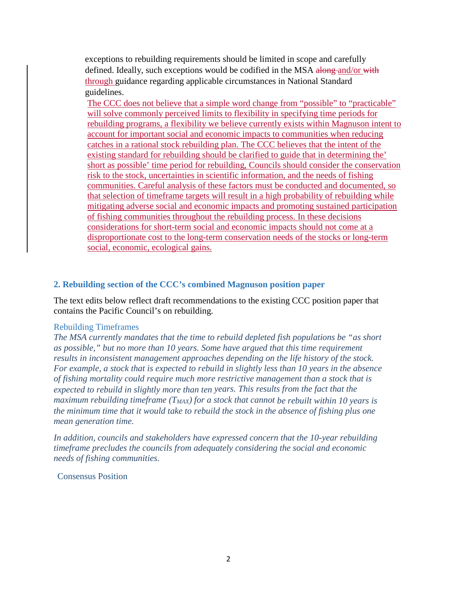exceptions to rebuilding requirements should be limited in scope and carefully defined. Ideally, such exceptions would be codified in the MSA along and/or with through guidance regarding applicable circumstances in National Standard guidelines.

The CCC does not believe that a simple word change from "possible" to "practicable" will solve commonly perceived limits to flexibility in specifying time periods for rebuilding programs, a flexibility we believe currently exists within Magnuson intent to account for important social and economic impacts to communities when reducing catches in a rational stock rebuilding plan. The CCC believes that the intent of the existing standard for rebuilding should be clarified to guide that in determining the' short as possible' time period for rebuilding, Councils should consider the conservation risk to the stock, uncertainties in scientific information, and the needs of fishing communities. Careful analysis of these factors must be conducted and documented, so that selection of timeframe targets will result in a high probability of rebuilding while mitigating adverse social and economic impacts and promoting sustained participation of fishing communities throughout the rebuilding process. In these decisions considerations for short-term social and economic impacts should not come at a disproportionate cost to the long-term conservation needs of the stocks or long-term social, economic, ecological gains*.*

## **2. Rebuilding section of the CCC's combined Magnuson position paper**

The text edits below reflect draft recommendations to the existing CCC position paper that contains the Pacific Council's on rebuilding.

## Rebuilding Timeframes

*The MSA currently mandates that the time to rebuild depleted fish populations be "as short as possible," but no more than 10 years. Some have argued that this time requirement results in inconsistent management approaches depending on the life history of the stock. For example, a stock that is expected to rebuild in slightly less than 10 years in the absence of fishing mortality could require much more restrictive management than a stock that is expected to rebuild in slightly more than ten years. This results from the fact that the maximum rebuilding timeframe (T<sub>MAX</sub>) for a stock that cannot be rebuilt within 10 years is the minimum time that it would take to rebuild the stock in the absence of fishing plus one mean generation time.*

*In addition, councils and stakeholders have expressed concern that the 10-year rebuilding timeframe precludes the councils from adequately considering the social and economic needs of fishing communities.*

Consensus Position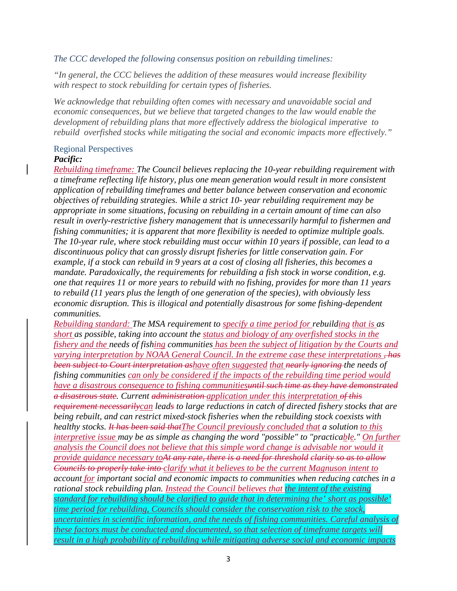## *The CCC developed the following consensus position on rebuilding timelines:*

*"In general, the CCC believes the addition of these measures would increase flexibility with respect to stock rebuilding for certain types of fisheries.*

*We acknowledge that rebuilding often comes with necessary and unavoidable social and economic consequences, but we believe that targeted changes to the law would enable the development of rebuilding plans that more effectively address the biological imperative to rebuild overfished stocks while mitigating the social and economic impacts more effectively."*

## Regional Perspectives

## *Pacific:*

*Rebuilding timeframe: The Council believes replacing the 10-year rebuilding requirement with a timeframe reflecting life history, plus one mean generation would result in more consistent application of rebuilding timeframes and better balance between conservation and economic objectives of rebuilding strategies. While a strict 10- year rebuilding requirement may be appropriate in some situations, focusing on rebuilding in a certain amount of time can also result in overly-restrictive fishery management that is unnecessarily harmful to fishermen and fishing communities; it is apparent that more flexibility is needed to optimize multiple goals. The 10-year rule, where stock rebuilding must occur within 10 years if possible, can lead to a discontinuous policy that can grossly disrupt fisheries for little conservation gain. For example, if a stock can rebuild in 9 years at a cost of closing all fisheries, this becomes a mandate. Paradoxically, the requirements for rebuilding a fish stock in worse condition, e.g. one that requires 11 or more years to rebuild with no fishing, provides for more than 11 years to rebuild (11 years plus the length of one generation of the species), with obviously less economic disruption. This is illogical and potentially disastrous for some fishing-dependent communities.*

*Rebuilding standard: The MSA requirement to specify a time period for rebuilding that is as short as possible, taking into account the status and biology of any overfished stocks in the fishery and the needs of fishing communities has been the subject of litigation by the Courts and varying interpretation by NOAA General Council. In the extreme case these interpretations , has been subject to Court interpretation ashave often suggested that nearly ignoring the needs of fishing communities can only be considered if the impacts of the rebuilding time period would have a disastrous consequence to fishing communitiesuntil such time as they have demonstrated a disastrous state. Current administration application under this interpretation of this requirement necessarilycan leads to large reductions in catch of directed fishery stocks that are being rebuilt, and can restrict mixed-stock fisheries when the rebuilding stock coexists with healthy stocks. It has been said thatThe Council previously concluded that a solution to this interpretive issue may be as simple as changing the word "possible" to "practicable." On further analysis the Council does not believe that this simple word change is advisable nor would it provide guidance necessary toAt any rate, there is a need for threshold clarity so as to allow Councils to properly take into clarify what it believes to be the current Magnuson intent to account for important social and economic impacts to communities when reducing catches in a rational stock rebuilding plan. Instead the Council believes that the intent of the existing standard for rebuilding should be clarified to guide that in determining the' short as possible' time period for rebuilding, Councils should consider the conservation risk to the stock, uncertainties in scientific information, and the needs of fishing communities. Careful analysis of these factors must be conducted and documented, so that selection of timeframe targets will result in a high probability of rebuilding while mitigating adverse social and economic impacts*